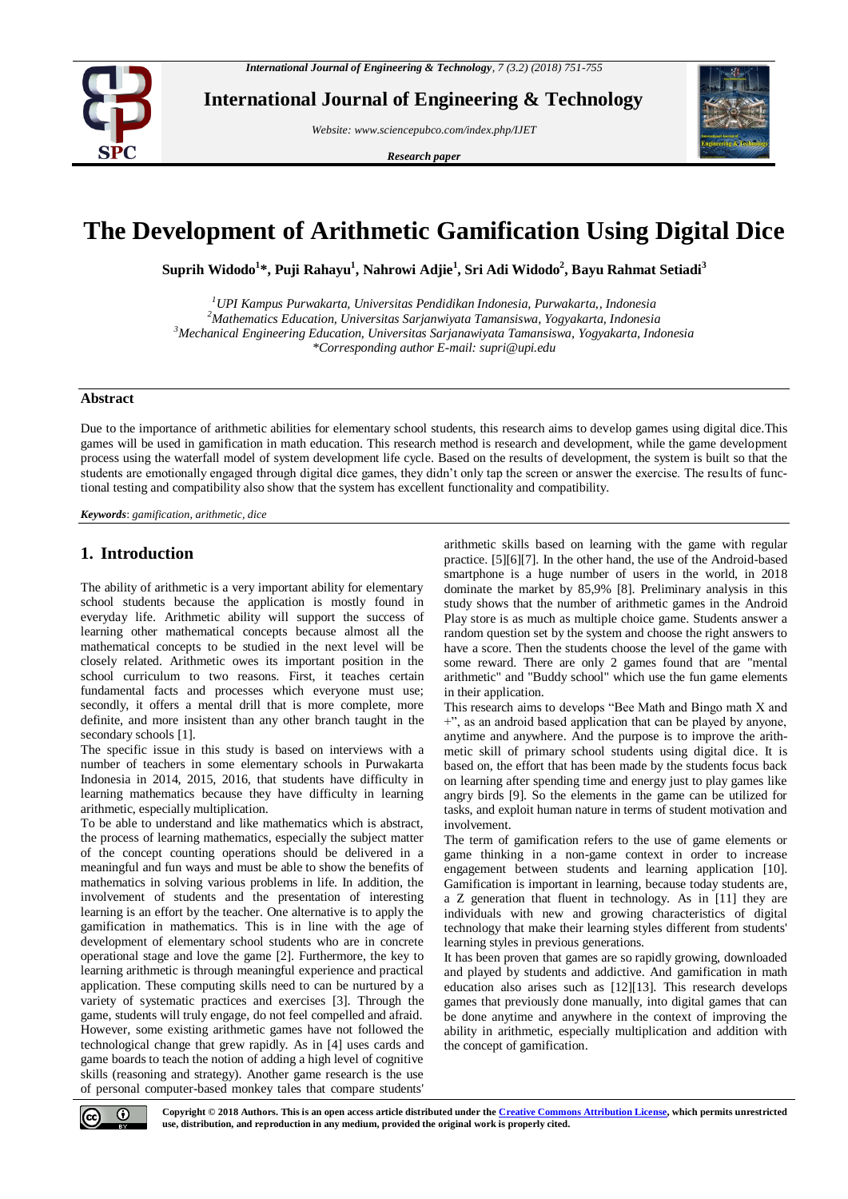

**International Journal of Engineering & Technology**

*Website: www.sciencepubco.com/index.php/IJET* 

*Research paper*



# **The Development of Arithmetic Gamification Using Digital Dice**

**Suprih Widodo<sup>1</sup> \*, Puji Rahayu<sup>1</sup> , Nahrowi Adjie<sup>1</sup> , Sri Adi Widodo<sup>2</sup> , Bayu Rahmat Setiadi<sup>3</sup>**

*UPI Kampus Purwakarta, Universitas Pendidikan Indonesia, Purwakarta,, Indonesia Mathematics Education, Universitas Sarjanwiyata Tamansiswa, Yogyakarta, Indonesia Mechanical Engineering Education, Universitas Sarjanawiyata Tamansiswa, Yogyakarta, Indonesia \*Corresponding author E-mail: supri@upi.edu*

### **Abstract**

Due to the importance of arithmetic abilities for elementary school students, this research aims to develop games using digital dice.This games will be used in gamification in math education. This research method is research and development, while the game development process using the waterfall model of system development life cycle. Based on the results of development, the system is built so that the students are emotionally engaged through digital dice games, they didn't only tap the screen or answer the exercise. The results of functional testing and compatibility also show that the system has excellent functionality and compatibility.

*Keywords*: *gamification, arithmetic, dice*

# **1. Introduction**

The ability of arithmetic is a very important ability for elementary school students because the application is mostly found in everyday life. Arithmetic ability will support the success of learning other mathematical concepts because almost all the mathematical concepts to be studied in the next level will be closely related. Arithmetic owes its important position in the school curriculum to two reasons. First, it teaches certain fundamental facts and processes which everyone must use; secondly, it offers a mental drill that is more complete, more definite, and more insistent than any other branch taught in the secondary schools [1].

The specific issue in this study is based on interviews with a number of teachers in some elementary schools in Purwakarta Indonesia in 2014, 2015, 2016, that students have difficulty in learning mathematics because they have difficulty in learning arithmetic, especially multiplication.

To be able to understand and like mathematics which is abstract, the process of learning mathematics, especially the subject matter of the concept counting operations should be delivered in a meaningful and fun ways and must be able to show the benefits of mathematics in solving various problems in life. In addition, the involvement of students and the presentation of interesting learning is an effort by the teacher. One alternative is to apply the gamification in mathematics. This is in line with the age of development of elementary school students who are in concrete operational stage and love the game [2]. Furthermore, the key to learning arithmetic is through meaningful experience and practical application. These computing skills need to can be nurtured by a variety of systematic practices and exercises [3]. Through the game, students will truly engage, do not feel compelled and afraid. However, some existing arithmetic games have not followed the technological change that grew rapidly. As in [4] uses cards and game boards to teach the notion of adding a high level of cognitive skills (reasoning and strategy). Another game research is the use of personal computer-based monkey tales that compare students'

arithmetic skills based on learning with the game with regular practice. [5][6][7]. In the other hand, the use of the Android-based smartphone is a huge number of users in the world, in 2018 dominate the market by 85,9% [8]. Preliminary analysis in this study shows that the number of arithmetic games in the Android Play store is as much as multiple choice game. Students answer a random question set by the system and choose the right answers to have a score. Then the students choose the level of the game with some reward. There are only 2 games found that are "mental arithmetic" and "Buddy school" which use the fun game elements in their application.

This research aims to develops "Bee Math and Bingo math X and +", as an android based application that can be played by anyone, anytime and anywhere. And the purpose is to improve the arithmetic skill of primary school students using digital dice. It is based on, the effort that has been made by the students focus back on learning after spending time and energy just to play games like angry birds [9]. So the elements in the game can be utilized for tasks, and exploit human nature in terms of student motivation and involvement.

The term of gamification refers to the use of game elements or game thinking in a non-game context in order to increase engagement between students and learning application [10]. Gamification is important in learning, because today students are, a Z generation that fluent in technology. As in [11] they are individuals with new and growing characteristics of digital technology that make their learning styles different from students' learning styles in previous generations.

It has been proven that games are so rapidly growing, downloaded and played by students and addictive. And gamification in math education also arises such as [12][13]. This research develops games that previously done manually, into digital games that can be done anytime and anywhere in the context of improving the ability in arithmetic, especially multiplication and addition with the concept of gamification.



**Copyright © 2018 Authors. This is an open access article distributed under th[e Creative Commons Attribution License,](http://creativecommons.org/licenses/by/3.0/) which permits unrestricted use, distribution, and reproduction in any medium, provided the original work is properly cited.**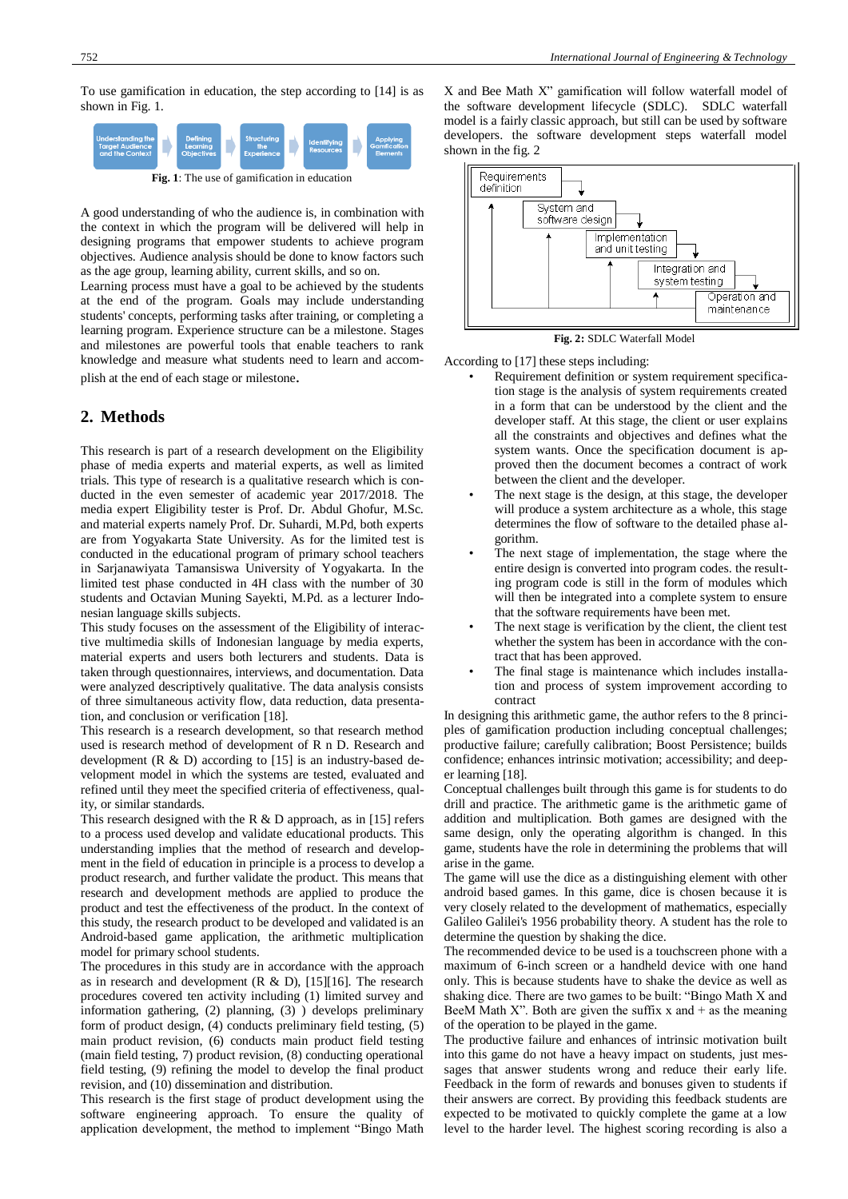To use gamification in education, the step according to [14] is as shown in Fig. 1.



**Fig. 1**: The use of gamification in education

A good understanding of who the audience is, in combination with the context in which the program will be delivered will help in designing programs that empower students to achieve program objectives. Audience analysis should be done to know factors such as the age group, learning ability, current skills, and so on.

Learning process must have a goal to be achieved by the students at the end of the program. Goals may include understanding students' concepts, performing tasks after training, or completing a learning program. Experience structure can be a milestone. Stages and milestones are powerful tools that enable teachers to rank knowledge and measure what students need to learn and accomplish at the end of each stage or milestone.

### **2. Methods**

This research is part of a research development on the Eligibility phase of media experts and material experts, as well as limited trials. This type of research is a qualitative research which is conducted in the even semester of academic year 2017/2018. The media expert Eligibility tester is Prof. Dr. Abdul Ghofur, M.Sc. and material experts namely Prof. Dr. Suhardi, M.Pd, both experts are from Yogyakarta State University. As for the limited test is conducted in the educational program of primary school teachers in Sarjanawiyata Tamansiswa University of Yogyakarta. In the limited test phase conducted in 4H class with the number of 30 students and Octavian Muning Sayekti, M.Pd. as a lecturer Indonesian language skills subjects.

This study focuses on the assessment of the Eligibility of interactive multimedia skills of Indonesian language by media experts, material experts and users both lecturers and students. Data is taken through questionnaires, interviews, and documentation. Data were analyzed descriptively qualitative. The data analysis consists of three simultaneous activity flow, data reduction, data presentation, and conclusion or verification [18].

This research is a research development, so that research method used is research method of development of R n D. Research and development  $(R \& D)$  according to [15] is an industry-based development model in which the systems are tested, evaluated and refined until they meet the specified criteria of effectiveness, quality, or similar standards.

This research designed with the R  $\&$  D approach, as in [15] refers to a process used develop and validate educational products. This understanding implies that the method of research and development in the field of education in principle is a process to develop a product research, and further validate the product. This means that research and development methods are applied to produce the product and test the effectiveness of the product. In the context of this study, the research product to be developed and validated is an Android-based game application, the arithmetic multiplication model for primary school students.

The procedures in this study are in accordance with the approach as in research and development  $(R & D)$ , [15][16]. The research procedures covered ten activity including (1) limited survey and information gathering, (2) planning, (3) ) develops preliminary form of product design, (4) conducts preliminary field testing, (5) main product revision, (6) conducts main product field testing (main field testing, 7) product revision, (8) conducting operational field testing, (9) refining the model to develop the final product revision, and (10) dissemination and distribution.

This research is the first stage of product development using the software engineering approach. To ensure the quality of application development, the method to implement "Bingo Math X and Bee Math X" gamification will follow waterfall model of the software development lifecycle (SDLC). SDLC waterfall model is a fairly classic approach, but still can be used by software developers. the software development steps waterfall model shown in the fig. 2





According to [17] these steps including:

- Requirement definition or system requirement specification stage is the analysis of system requirements created in a form that can be understood by the client and the developer staff. At this stage, the client or user explains all the constraints and objectives and defines what the system wants. Once the specification document is approved then the document becomes a contract of work between the client and the developer.
- The next stage is the design, at this stage, the developer will produce a system architecture as a whole, this stage determines the flow of software to the detailed phase algorithm.
- The next stage of implementation, the stage where the entire design is converted into program codes. the resulting program code is still in the form of modules which will then be integrated into a complete system to ensure that the software requirements have been met.
- The next stage is verification by the client, the client test whether the system has been in accordance with the contract that has been approved.
- The final stage is maintenance which includes installation and process of system improvement according to contract

In designing this arithmetic game, the author refers to the 8 principles of gamification production including conceptual challenges; productive failure; carefully calibration; Boost Persistence; builds confidence; enhances intrinsic motivation; accessibility; and deeper learning [18].

Conceptual challenges built through this game is for students to do drill and practice. The arithmetic game is the arithmetic game of addition and multiplication. Both games are designed with the same design, only the operating algorithm is changed. In this game, students have the role in determining the problems that will arise in the game.

The game will use the dice as a distinguishing element with other android based games. In this game, dice is chosen because it is very closely related to the development of mathematics, especially Galileo Galilei's 1956 probability theory. A student has the role to determine the question by shaking the dice.

The recommended device to be used is a touchscreen phone with a maximum of 6-inch screen or a handheld device with one hand only. This is because students have to shake the device as well as shaking dice. There are two games to be built: "Bingo Math X and BeeM Math X". Both are given the suffix x and  $+$  as the meaning of the operation to be played in the game.

The productive failure and enhances of intrinsic motivation built into this game do not have a heavy impact on students, just messages that answer students wrong and reduce their early life. Feedback in the form of rewards and bonuses given to students if their answers are correct. By providing this feedback students are expected to be motivated to quickly complete the game at a low level to the harder level. The highest scoring recording is also a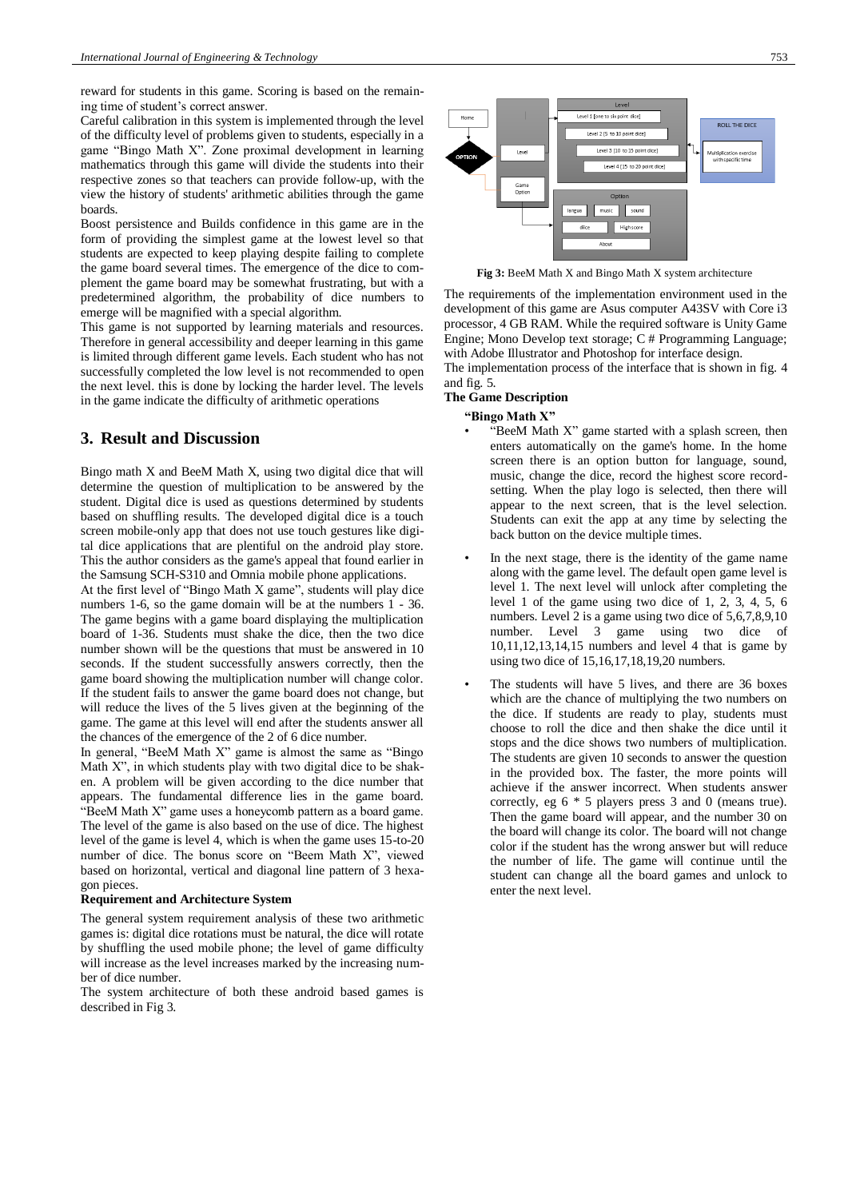reward for students in this game. Scoring is based on the remaining time of student's correct answer.

Careful calibration in this system is implemented through the level of the difficulty level of problems given to students, especially in a game "Bingo Math X". Zone proximal development in learning mathematics through this game will divide the students into their respective zones so that teachers can provide follow-up, with the view the history of students' arithmetic abilities through the game boards.

Boost persistence and Builds confidence in this game are in the form of providing the simplest game at the lowest level so that students are expected to keep playing despite failing to complete the game board several times. The emergence of the dice to complement the game board may be somewhat frustrating, but with a predetermined algorithm, the probability of dice numbers to emerge will be magnified with a special algorithm.

This game is not supported by learning materials and resources. Therefore in general accessibility and deeper learning in this game is limited through different game levels. Each student who has not successfully completed the low level is not recommended to open the next level. this is done by locking the harder level. The levels in the game indicate the difficulty of arithmetic operations

## **3. Result and Discussion**

Bingo math X and BeeM Math X, using two digital dice that will determine the question of multiplication to be answered by the student. Digital dice is used as questions determined by students based on shuffling results. The developed digital dice is a touch screen mobile-only app that does not use touch gestures like digital dice applications that are plentiful on the android play store. This the author considers as the game's appeal that found earlier in the Samsung SCH-S310 and Omnia mobile phone applications.

At the first level of "Bingo Math X game", students will play dice numbers 1-6, so the game domain will be at the numbers 1 - 36. The game begins with a game board displaying the multiplication board of 1-36. Students must shake the dice, then the two dice number shown will be the questions that must be answered in 10 seconds. If the student successfully answers correctly, then the game board showing the multiplication number will change color. If the student fails to answer the game board does not change, but will reduce the lives of the 5 lives given at the beginning of the game. The game at this level will end after the students answer all the chances of the emergence of the 2 of 6 dice number.

In general, "BeeM Math X" game is almost the same as "Bingo Math  $X$ ", in which students play with two digital dice to be shaken. A problem will be given according to the dice number that appears. The fundamental difference lies in the game board. "BeeM Math X" game uses a honeycomb pattern as a board game. The level of the game is also based on the use of dice. The highest level of the game is level 4, which is when the game uses 15-to-20 number of dice. The bonus score on "Beem Math X", viewed based on horizontal, vertical and diagonal line pattern of 3 hexagon pieces.

### **Requirement and Architecture System**

The general system requirement analysis of these two arithmetic games is: digital dice rotations must be natural, the dice will rotate by shuffling the used mobile phone; the level of game difficulty will increase as the level increases marked by the increasing number of dice number.

The system architecture of both these android based games is described in Fig 3.



**Fig 3:** BeeM Math X and Bingo Math X system architecture

The requirements of the implementation environment used in the development of this game are Asus computer A43SV with Core i3 processor, 4 GB RAM. While the required software is Unity Game Engine; Mono Develop text storage; C # Programming Language; with Adobe Illustrator and Photoshop for interface design.

The implementation process of the interface that is shown in fig. 4 and fig. 5.

# **The Game Description**

### **"Bingo Math X"**

- $\widetilde{\text{E}}$ BeeM Math X" game started with a splash screen, then enters automatically on the game's home. In the home screen there is an option button for language, sound, music, change the dice, record the highest score recordsetting. When the play logo is selected, then there will appear to the next screen, that is the level selection. Students can exit the app at any time by selecting the back button on the device multiple times.
- In the next stage, there is the identity of the game name along with the game level. The default open game level is level 1. The next level will unlock after completing the level 1 of the game using two dice of 1, 2, 3, 4, 5, 6 numbers. Level 2 is a game using two dice of 5,6,7,8,9,10 number. Level 3 game using two dice of 10,11,12,13,14,15 numbers and level 4 that is game by using two dice of 15,16,17,18,19,20 numbers.
- The students will have 5 lives, and there are 36 boxes which are the chance of multiplying the two numbers on the dice. If students are ready to play, students must choose to roll the dice and then shake the dice until it stops and the dice shows two numbers of multiplication. The students are given 10 seconds to answer the question in the provided box. The faster, the more points will achieve if the answer incorrect. When students answer correctly, eg 6 \* 5 players press 3 and 0 (means true). Then the game board will appear, and the number 30 on the board will change its color. The board will not change color if the student has the wrong answer but will reduce the number of life. The game will continue until the student can change all the board games and unlock to enter the next level.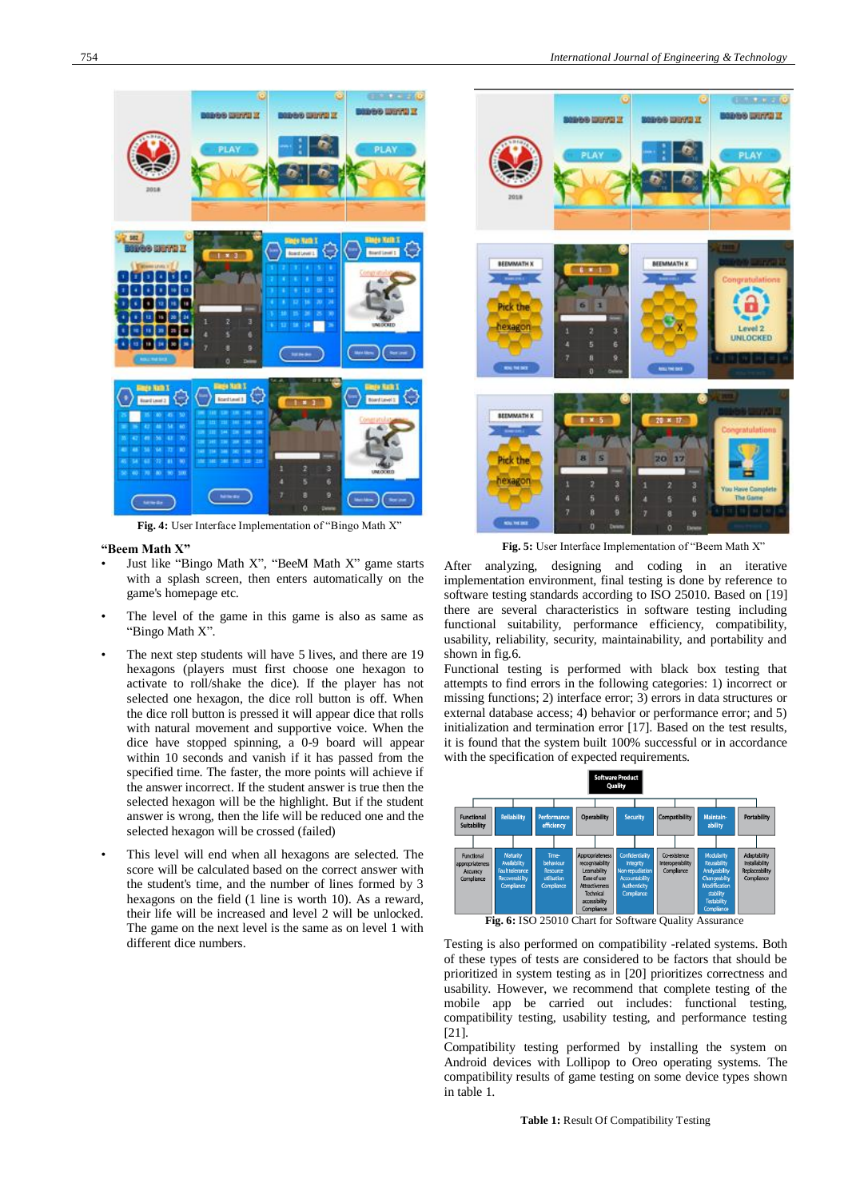

**Fig. 4:** User Interface Implementation of "Bingo Math X"

#### **"Beem Math X"**

- Just like "Bingo Math X", "BeeM Math X" game starts with a splash screen, then enters automatically on the game's homepage etc.
- The level of the game in this game is also as same as "Bingo Math X".
- The next step students will have 5 lives, and there are 19 hexagons (players must first choose one hexagon to activate to roll/shake the dice). If the player has not selected one hexagon, the dice roll button is off. When the dice roll button is pressed it will appear dice that rolls with natural movement and supportive voice. When the dice have stopped spinning, a 0-9 board will appear within 10 seconds and vanish if it has passed from the specified time. The faster, the more points will achieve if the answer incorrect. If the student answer is true then the selected hexagon will be the highlight. But if the student answer is wrong, then the life will be reduced one and the selected hexagon will be crossed (failed)
- This level will end when all hexagons are selected. The score will be calculated based on the correct answer with the student's time, and the number of lines formed by 3 hexagons on the field (1 line is worth 10). As a reward, their life will be increased and level 2 will be unlocked. The game on the next level is the same as on level 1 with different dice numbers.



Fig. 5: User Interface Implementation of "Beem Math X"

After analyzing, designing and coding in an iterative implementation environment, final testing is done by reference to software testing standards according to ISO 25010. Based on [19] there are several characteristics in software testing including functional suitability, performance efficiency, compatibility, usability, reliability, security, maintainability, and portability and shown in fig.6.

Functional testing is performed with black box testing that attempts to find errors in the following categories: 1) incorrect or missing functions; 2) interface error; 3) errors in data structures or external database access; 4) behavior or performance error; and 5) initialization and termination error [17]. Based on the test results, it is found that the system built 100% successful or in accordance with the specification of expected requirements.



**Fig. 6:** ISO 25010 Chart for Software Quality Assurance

Testing is also performed on compatibility -related systems. Both of these types of tests are considered to be factors that should be prioritized in system testing as in [20] prioritizes correctness and usability. However, we recommend that complete testing of the mobile app be carried out includes: functional testing, compatibility testing, usability testing, and performance testing [21].

Compatibility testing performed by installing the system on Android devices with Lollipop to Oreo operating systems. The compatibility results of game testing on some device types shown in table 1.